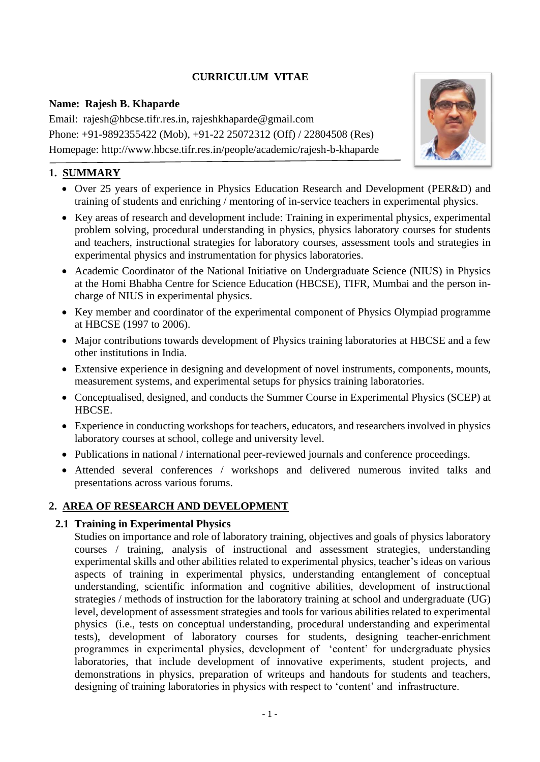# **CURRICULUM VITAE**

### **Name: Rajesh B. Khaparde**

Email: rajesh@hbcse.tifr.res.in, rajeshkhaparde@gmail.com Phone: +91-9892355422 (Mob), +91-22 25072312 (Off) / 22804508 (Res) Homepage: http://www.hbcse.tifr.res.in/people/academic/rajesh-b-khaparde



- Over 25 years of experience in Physics Education Research and Development (PER&D) and training of students and enriching / mentoring of in-service teachers in experimental physics.
- Key areas of research and development include: Training in experimental physics, experimental problem solving, procedural understanding in physics, physics laboratory courses for students and teachers, instructional strategies for laboratory courses, assessment tools and strategies in experimental physics and instrumentation for physics laboratories.
- Academic Coordinator of the National Initiative on Undergraduate Science (NIUS) in Physics at the Homi Bhabha Centre for Science Education (HBCSE), TIFR, Mumbai and the person incharge of NIUS in experimental physics.
- Key member and coordinator of the experimental component of Physics Olympiad programme at HBCSE (1997 to 2006).
- Major contributions towards development of Physics training laboratories at HBCSE and a few other institutions in India.
- Extensive experience in designing and development of novel instruments, components, mounts, measurement systems, and experimental setups for physics training laboratories.
- Conceptualised, designed, and conducts the Summer Course in Experimental Physics (SCEP) at HBCSE.
- Experience in conducting workshops for teachers, educators, and researchers involved in physics laboratory courses at school, college and university level.
- Publications in national / international peer-reviewed journals and conference proceedings.
- Attended several conferences / workshops and delivered numerous invited talks and presentations across various forums.

# **2. AREA OF RESEARCH AND DEVELOPMENT**

# **2.1 Training in Experimental Physics**

Studies on importance and role of laboratory training, objectives and goals of physics laboratory courses / training, analysis of instructional and assessment strategies, understanding experimental skills and other abilities related to experimental physics, teacher's ideas on various aspects of training in experimental physics, understanding entanglement of conceptual understanding, scientific information and cognitive abilities, development of instructional strategies / methods of instruction for the laboratory training at school and undergraduate (UG) level, development of assessment strategies and tools for various abilities related to experimental physics (i.e., tests on conceptual understanding, procedural understanding and experimental tests), development of laboratory courses for students, designing teacher-enrichment programmes in experimental physics, development of 'content' for undergraduate physics laboratories, that include development of innovative experiments, student projects, and demonstrations in physics, preparation of writeups and handouts for students and teachers, designing of training laboratories in physics with respect to 'content' and infrastructure.

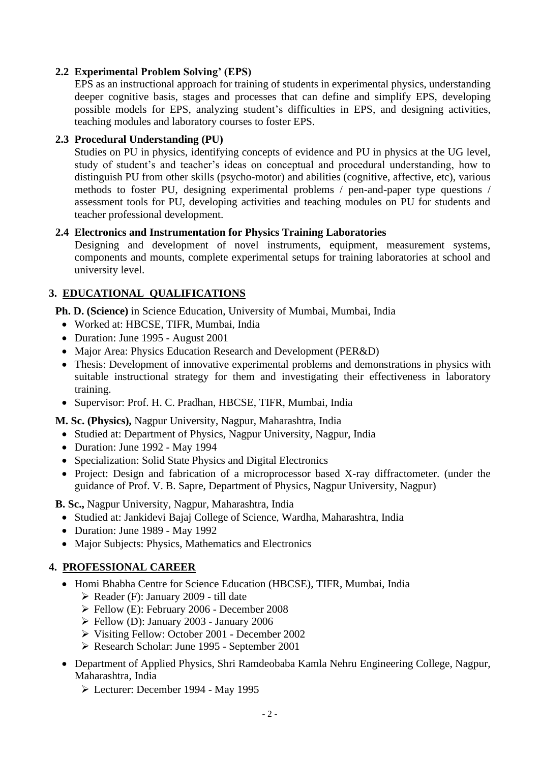### **2.2 Experimental Problem Solving' (EPS)**

EPS as an instructional approach for training of students in experimental physics, understanding deeper cognitive basis, stages and processes that can define and simplify EPS, developing possible models for EPS, analyzing student's difficulties in EPS, and designing activities, teaching modules and laboratory courses to foster EPS.

### **2.3 Procedural Understanding (PU)**

Studies on PU in physics, identifying concepts of evidence and PU in physics at the UG level, study of student's and teacher's ideas on conceptual and procedural understanding, how to distinguish PU from other skills (psycho-motor) and abilities (cognitive, affective, etc), various methods to foster PU, designing experimental problems / pen-and-paper type questions / assessment tools for PU, developing activities and teaching modules on PU for students and teacher professional development.

### **2.4 Electronics and Instrumentation for Physics Training Laboratories**

Designing and development of novel instruments, equipment, measurement systems, components and mounts, complete experimental setups for training laboratories at school and university level.

# **3. EDUCATIONAL QUALIFICATIONS**

**Ph. D. (Science)** in Science Education, University of Mumbai, Mumbai, India

- Worked at: HBCSE, TIFR, Mumbai, India
- Duration: June 1995 August 2001
- Major Area: Physics Education Research and Development (PER&D)
- Thesis: Development of innovative experimental problems and demonstrations in physics with suitable instructional strategy for them and investigating their effectiveness in laboratory training.
- Supervisor: Prof. H. C. Pradhan, HBCSE, TIFR, Mumbai, India

**M. Sc. (Physics),** Nagpur University, Nagpur, Maharashtra, India

- Studied at: Department of Physics, Nagpur University, Nagpur, India
- Duration: June 1992 May 1994
- Specialization: Solid State Physics and Digital Electronics
- Project: Design and fabrication of a microprocessor based X-ray diffractometer. (under the guidance of Prof. V. B. Sapre, Department of Physics, Nagpur University, Nagpur)

**B. Sc.,** Nagpur University, Nagpur, Maharashtra, India

- Studied at: Jankidevi Bajaj College of Science, Wardha, Maharashtra, India
- Duration: June 1989 May 1992
- Major Subjects: Physics, Mathematics and Electronics

### **4. PROFESSIONAL CAREER**

- Homi Bhabha Centre for Science Education (HBCSE), TIFR, Mumbai, India
	- ➢ Reader (F): January 2009 till date
	- ➢ Fellow (E): February 2006 December 2008
	- ➢ Fellow (D): January 2003 January 2006
	- ➢ Visiting Fellow: October 2001 December 2002
	- ➢ Research Scholar: June 1995 September 2001
- Department of Applied Physics, Shri Ramdeobaba Kamla Nehru Engineering College, Nagpur, Maharashtra, India
	- ➢ Lecturer: December 1994 May 1995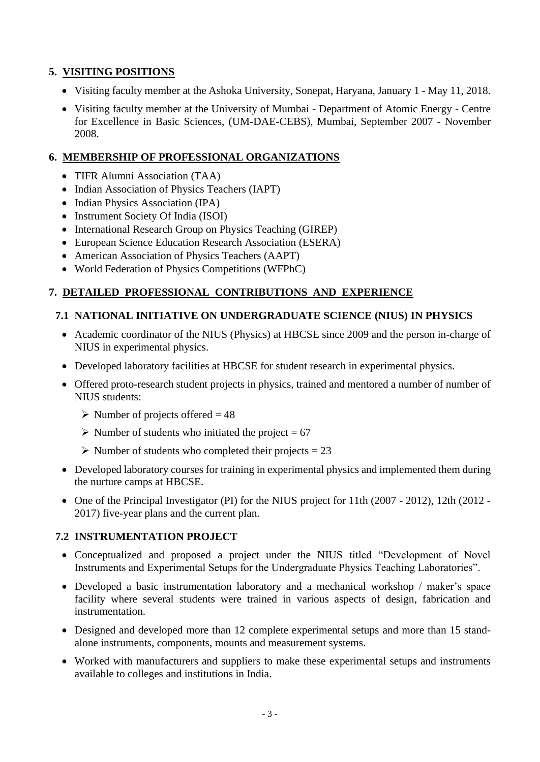# **5. VISITING POSITIONS**

- Visiting faculty member at the Ashoka University, Sonepat, Haryana, January 1 May 11, 2018.
- Visiting faculty member at the University of Mumbai Department of Atomic Energy Centre for Excellence in Basic Sciences, (UM-DAE-CEBS), Mumbai, September 2007 - November 2008.

### **6. MEMBERSHIP OF PROFESSIONAL ORGANIZATIONS**

- TIFR Alumni Association (TAA)
- Indian Association of Physics Teachers (IAPT)
- Indian Physics Association (IPA)
- Instrument Society Of India (ISOI)
- International Research Group on Physics Teaching (GIREP)
- European Science Education Research Association (ESERA)
- American Association of Physics Teachers (AAPT)
- World Federation of Physics Competitions (WFPhC)

### **7. DETAILED PROFESSIONAL CONTRIBUTIONS AND EXPERIENCE**

### **7.1 NATIONAL INITIATIVE ON UNDERGRADUATE SCIENCE (NIUS) IN PHYSICS**

- Academic coordinator of the NIUS (Physics) at HBCSE since 2009 and the person in-charge of NIUS in experimental physics.
- Developed laboratory facilities at HBCSE for student research in experimental physics.
- Offered proto-research student projects in physics, trained and mentored a number of number of NIUS students:
	- $\triangleright$  Number of projects offered = 48
	- $\triangleright$  Number of students who initiated the project = 67
	- $\triangleright$  Number of students who completed their projects = 23
- Developed laboratory courses for training in experimental physics and implemented them during the nurture camps at HBCSE.
- One of the Principal Investigator (PI) for the NIUS project for 11th (2007 2012), 12th (2012 2017) five-year plans and the current plan.

### **7.2 INSTRUMENTATION PROJECT**

- Conceptualized and proposed a project under the NIUS titled "Development of Novel Instruments and Experimental Setups for the Undergraduate Physics Teaching Laboratories".
- Developed a basic instrumentation laboratory and a mechanical workshop / maker's space facility where several students were trained in various aspects of design, fabrication and instrumentation.
- Designed and developed more than 12 complete experimental setups and more than 15 standalone instruments, components, mounts and measurement systems.
- Worked with manufacturers and suppliers to make these experimental setups and instruments available to colleges and institutions in India.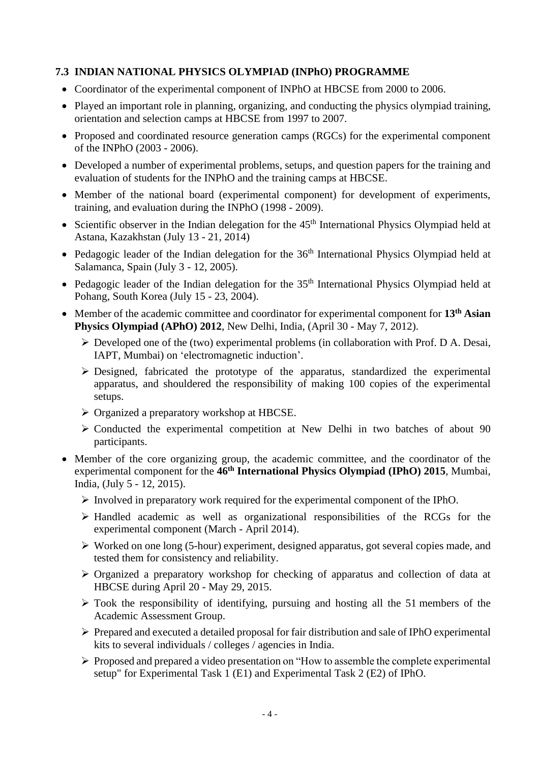### **7.3 INDIAN NATIONAL PHYSICS OLYMPIAD (INPhO) PROGRAMME**

- Coordinator of the experimental component of INPhO at HBCSE from 2000 to 2006.
- Played an important role in planning, organizing, and conducting the physics olympiad training, orientation and selection camps at HBCSE from 1997 to 2007.
- Proposed and coordinated resource generation camps (RGCs) for the experimental component of the INPhO (2003 - 2006).
- Developed a number of experimental problems, setups, and question papers for the training and evaluation of students for the INPhO and the training camps at HBCSE.
- Member of the national board (experimental component) for development of experiments, training, and evaluation during the INPhO (1998 - 2009).
- Scientific observer in the Indian delegation for the  $45<sup>th</sup>$  International Physics Olympiad held at Astana, Kazakhstan (July 13 - 21, 2014)
- Pedagogic leader of the Indian delegation for the 36<sup>th</sup> International Physics Olympiad held at Salamanca, Spain (July 3 - 12, 2005).
- Pedagogic leader of the Indian delegation for the  $35<sup>th</sup>$  International Physics Olympiad held at Pohang, South Korea (July 15 - 23, 2004).
- Member of the academic committee and coordinator for experimental component for **13th Asian Physics Olympiad (APhO) 2012**, New Delhi, India, (April 30 - May 7, 2012).
	- ➢ Developed one of the (two) experimental problems (in collaboration with Prof. D A. Desai, IAPT, Mumbai) on 'electromagnetic induction'.
	- ➢ Designed, fabricated the prototype of the apparatus, standardized the experimental apparatus, and shouldered the responsibility of making 100 copies of the experimental setups.
	- ➢ Organized a preparatory workshop at HBCSE.
	- ➢ Conducted the experimental competition at New Delhi in two batches of about 90 participants.
- Member of the core organizing group, the academic committee, and the coordinator of the experimental component for the **46th International Physics Olympiad (IPhO) 2015**, Mumbai, India, (July 5 - 12, 2015).
	- ➢ Involved in preparatory work required for the experimental component of the IPhO.
	- ➢ Handled academic as well as organizational responsibilities of the RCGs for the experimental component (March - April 2014).
	- ➢ Worked on one long (5-hour) experiment, designed apparatus, got several copies made, and tested them for consistency and reliability.
	- ➢ Organized a preparatory workshop for checking of apparatus and collection of data at HBCSE during April 20 - May 29, 2015.
	- ➢ Took the responsibility of identifying, pursuing and hosting all the 51 members of the Academic Assessment Group.
	- ➢ Prepared and executed a detailed proposal for fair distribution and sale of IPhO experimental kits to several individuals / colleges / agencies in India.
	- ➢ Proposed and prepared a video presentation on "How to assemble the complete experimental setup" for Experimental Task 1 (E1) and Experimental Task 2 (E2) of IPhO.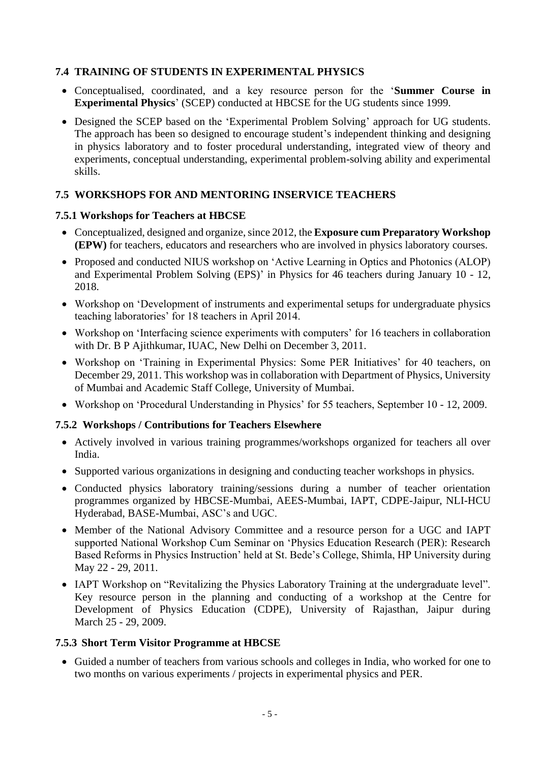### **7.4 TRAINING OF STUDENTS IN EXPERIMENTAL PHYSICS**

- Conceptualised, coordinated, and a key resource person for the '**Summer Course in Experimental Physics**' (SCEP) conducted at HBCSE for the UG students since 1999.
- Designed the SCEP based on the 'Experimental Problem Solving' approach for UG students. The approach has been so designed to encourage student's independent thinking and designing in physics laboratory and to foster procedural understanding, integrated view of theory and experiments, conceptual understanding, experimental problem-solving ability and experimental skills.

### **7.5 WORKSHOPS FOR AND MENTORING INSERVICE TEACHERS**

### **7.5.1 Workshops for Teachers at HBCSE**

- Conceptualized, designed and organize, since 2012, the **Exposure cum Preparatory Workshop (EPW)** for teachers, educators and researchers who are involved in physics laboratory courses.
- Proposed and conducted NIUS workshop on 'Active Learning in Optics and Photonics (ALOP) and Experimental Problem Solving (EPS)' in Physics for 46 teachers during January 10 - 12, 2018.
- Workshop on 'Development of instruments and experimental setups for undergraduate physics teaching laboratories' for 18 teachers in April 2014.
- Workshop on 'Interfacing science experiments with computers' for 16 teachers in collaboration with Dr. B P Ajithkumar, IUAC, New Delhi on December 3, 2011.
- Workshop on 'Training in Experimental Physics: Some PER Initiatives' for 40 teachers, on December 29, 2011. This workshop was in collaboration with Department of Physics, University of Mumbai and Academic Staff College, University of Mumbai.
- Workshop on 'Procedural Understanding in Physics' for 55 teachers, September 10 12, 2009.

### **7.5.2 Workshops / Contributions for Teachers Elsewhere**

- Actively involved in various training programmes/workshops organized for teachers all over India.
- Supported various organizations in designing and conducting teacher workshops in physics.
- Conducted physics laboratory training/sessions during a number of teacher orientation programmes organized by HBCSE-Mumbai, AEES-Mumbai, IAPT, CDPE-Jaipur, NLI-HCU Hyderabad, BASE-Mumbai, ASC's and UGC.
- Member of the National Advisory Committee and a resource person for a UGC and IAPT supported National Workshop Cum Seminar on 'Physics Education Research (PER): Research Based Reforms in Physics Instruction' held at St. Bede's College, Shimla, HP University during May 22 - 29, 2011.
- IAPT Workshop on "Revitalizing the Physics Laboratory Training at the undergraduate level". Key resource person in the planning and conducting of a workshop at the Centre for Development of Physics Education (CDPE), University of Rajasthan, Jaipur during March 25 - 29, 2009.

### **7.5.3 Short Term Visitor Programme at HBCSE**

• Guided a number of teachers from various schools and colleges in India, who worked for one to two months on various experiments / projects in experimental physics and PER.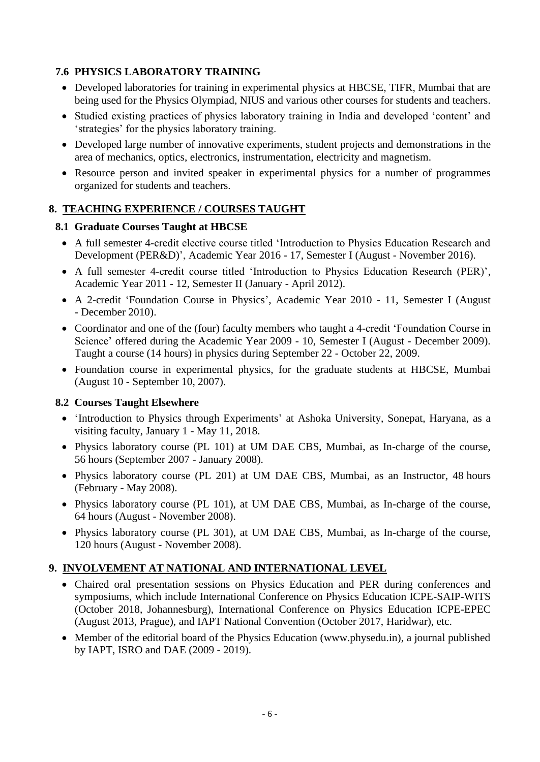# **7.6 PHYSICS LABORATORY TRAINING**

- Developed laboratories for training in experimental physics at HBCSE, TIFR, Mumbai that are being used for the Physics Olympiad, NIUS and various other courses for students and teachers.
- Studied existing practices of physics laboratory training in India and developed 'content' and 'strategies' for the physics laboratory training.
- Developed large number of innovative experiments, student projects and demonstrations in the area of mechanics, optics, electronics, instrumentation, electricity and magnetism.
- Resource person and invited speaker in experimental physics for a number of programmes organized for students and teachers.

# **8. TEACHING EXPERIENCE / COURSES TAUGHT**

# **8.1 Graduate Courses Taught at HBCSE**

- A full semester 4-credit elective course titled 'Introduction to Physics Education Research and Development (PER&D)', Academic Year 2016 - 17, Semester I (August - November 2016).
- A full semester 4-credit course titled 'Introduction to Physics Education Research (PER)', Academic Year 2011 - 12, Semester II (January - April 2012).
- A 2-credit 'Foundation Course in Physics', Academic Year 2010 11, Semester I (August - December 2010).
- Coordinator and one of the (four) faculty members who taught a 4-credit 'Foundation Course in Science' offered during the Academic Year 2009 - 10, Semester I (August - December 2009). Taught a course (14 hours) in physics during September 22 - October 22, 2009.
- Foundation course in experimental physics, for the graduate students at HBCSE, Mumbai (August 10 - September 10, 2007).

# **8.2 Courses Taught Elsewhere**

- 'Introduction to Physics through Experiments' at Ashoka University, Sonepat, Haryana, as a visiting faculty, January 1 - May 11, 2018.
- Physics laboratory course (PL 101) at UM DAE CBS, Mumbai, as In-charge of the course, 56 hours (September 2007 - January 2008).
- Physics laboratory course (PL 201) at UM DAE CBS, Mumbai, as an Instructor, 48 hours (February - May 2008).
- Physics laboratory course (PL 101), at UM DAE CBS, Mumbai, as In-charge of the course, 64 hours (August - November 2008).
- Physics laboratory course (PL 301), at UM DAE CBS, Mumbai, as In-charge of the course, 120 hours (August - November 2008).

# **9. INVOLVEMENT AT NATIONAL AND INTERNATIONAL LEVEL**

- Chaired oral presentation sessions on Physics Education and PER during conferences and symposiums, which include International Conference on Physics Education ICPE-SAIP-WITS (October 2018, Johannesburg), International Conference on Physics Education ICPE-EPEC (August 2013, Prague), and IAPT National Convention (October 2017, Haridwar), etc.
- Member of the editorial board of the Physics Education (www.physedu.in), a journal published by IAPT, ISRO and DAE (2009 - 2019).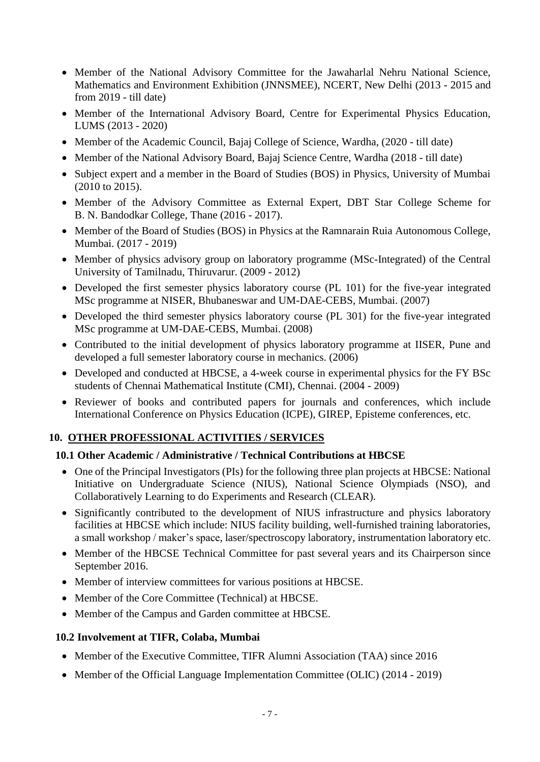- Member of the National Advisory Committee for the Jawaharlal Nehru National Science, Mathematics and Environment Exhibition (JNNSMEE), NCERT, New Delhi (2013 - 2015 and from 2019 - till date)
- Member of the International Advisory Board, Centre for Experimental Physics Education, LUMS (2013 - 2020)
- Member of the Academic Council, Bajaj College of Science, Wardha, (2020 till date)
- Member of the National Advisory Board, Bajaj Science Centre, Wardha (2018 till date)
- Subject expert and a member in the Board of Studies (BOS) in Physics, University of Mumbai (2010 to 2015).
- Member of the Advisory Committee as External Expert, DBT Star College Scheme for B. N. Bandodkar College, Thane (2016 - 2017).
- Member of the Board of Studies (BOS) in Physics at the Ramnarain Ruia Autonomous College, Mumbai. (2017 - 2019)
- Member of physics advisory group on laboratory programme (MSc-Integrated) of the Central University of Tamilnadu, Thiruvarur. (2009 - 2012)
- Developed the first semester physics laboratory course (PL 101) for the five-year integrated MSc programme at NISER, Bhubaneswar and UM-DAE-CEBS, Mumbai. (2007)
- Developed the third semester physics laboratory course (PL 301) for the five-year integrated MSc programme at UM-DAE-CEBS, Mumbai. (2008)
- Contributed to the initial development of physics laboratory programme at IISER, Pune and developed a full semester laboratory course in mechanics. (2006)
- Developed and conducted at HBCSE, a 4-week course in experimental physics for the FY BSc students of Chennai Mathematical Institute (CMI), Chennai. (2004 - 2009)
- Reviewer of books and contributed papers for journals and conferences, which include International Conference on Physics Education (ICPE), GIREP, Episteme conferences, etc.

# **10. OTHER PROFESSIONAL ACTIVITIES / SERVICES**

### **10.1 Other Academic / Administrative / Technical Contributions at HBCSE**

- One of the Principal Investigators (PIs) for the following three plan projects at HBCSE: National Initiative on Undergraduate Science (NIUS), National Science Olympiads (NSO), and Collaboratively Learning to do Experiments and Research (CLEAR).
- Significantly contributed to the development of NIUS infrastructure and physics laboratory facilities at HBCSE which include: NIUS facility building, well-furnished training laboratories, a small workshop / maker's space, laser/spectroscopy laboratory, instrumentation laboratory etc.
- Member of the HBCSE Technical Committee for past several years and its Chairperson since September 2016.
- Member of interview committees for various positions at HBCSE.
- Member of the Core Committee (Technical) at HBCSE.
- Member of the Campus and Garden committee at HBCSE.

### **10.2 Involvement at TIFR, Colaba, Mumbai**

- Member of the Executive Committee, TIFR Alumni Association (TAA) since 2016
- Member of the Official Language Implementation Committee (OLIC) (2014 2019)